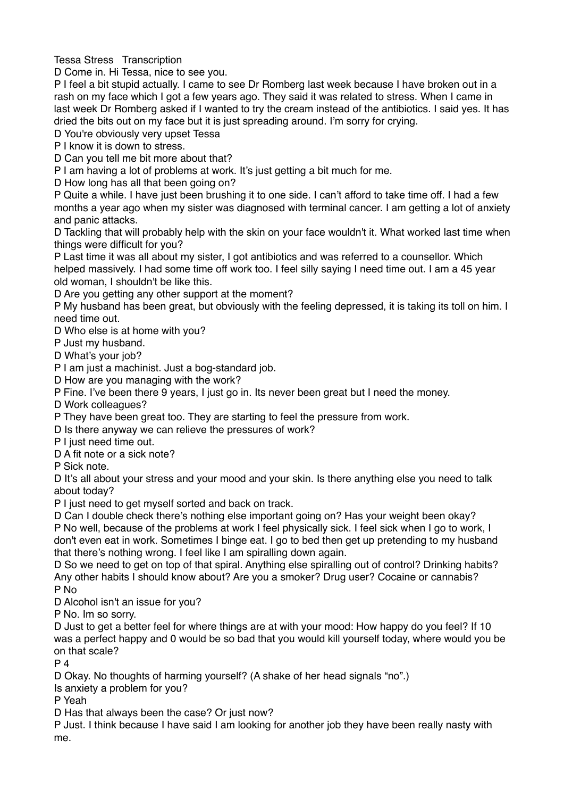Tessa Stress Transcription

D Come in. Hi Tessa, nice to see you.

P I feel a bit stupid actually. I came to see Dr Romberg last week because I have broken out in a rash on my face which I got a few years ago. They said it was related to stress. When I came in last week Dr Romberg asked if I wanted to try the cream instead of the antibiotics. I said yes. It has dried the bits out on my face but it is just spreading around. I'm sorry for crying.

D You're obviously very upset Tessa

P I know it is down to stress.

D Can you tell me bit more about that?

P I am having a lot of problems at work. It's just getting a bit much for me.

D How long has all that been going on?

P Quite a while. I have just been brushing it to one side. I can't afford to take time off. I had a few months a year ago when my sister was diagnosed with terminal cancer. I am getting a lot of anxiety and panic attacks.

D Tackling that will probably help with the skin on your face wouldn't it. What worked last time when things were difficult for you?

P Last time it was all about my sister, I got antibiotics and was referred to a counsellor. Which helped massively. I had some time off work too. I feel silly saying I need time out. I am a 45 year old woman, I shouldn't be like this.

D Are you getting any other support at the moment?

P My husband has been great, but obviously with the feeling depressed, it is taking its toll on him. I need time out.

D Who else is at home with you?

P Just my husband.

D What's your job?

P I am just a machinist. Just a bog-standard job.

D How are you managing with the work?

P Fine. I've been there 9 years, I just go in. Its never been great but I need the money.

D Work colleagues?

P They have been great too. They are starting to feel the pressure from work.

D Is there anyway we can relieve the pressures of work?

P I just need time out.

D A fit note or a sick note?

P Sick note.

D It's all about your stress and your mood and your skin. Is there anything else you need to talk about today?

P I just need to get myself sorted and back on track.

D Can I double check there's nothing else important going on? Has your weight been okay?

P No well, because of the problems at work I feel physically sick. I feel sick when I go to work, I don't even eat in work. Sometimes I binge eat. I go to bed then get up pretending to my husband that there's nothing wrong. I feel like I am spiralling down again.

D So we need to get on top of that spiral. Anything else spiralling out of control? Drinking habits? Any other habits I should know about? Are you a smoker? Drug user? Cocaine or cannabis? P No

D Alcohol isn't an issue for you?

P No. Im so sorry.

D Just to get a better feel for where things are at with your mood: How happy do you feel? If 10 was a perfect happy and 0 would be so bad that you would kill yourself today, where would you be on that scale?

 $P_4$ 

D Okay. No thoughts of harming yourself? (A shake of her head signals "no".)

Is anxiety a problem for you?

P Yeah

D Has that always been the case? Or just now?

P Just. I think because I have said I am looking for another job they have been really nasty with me.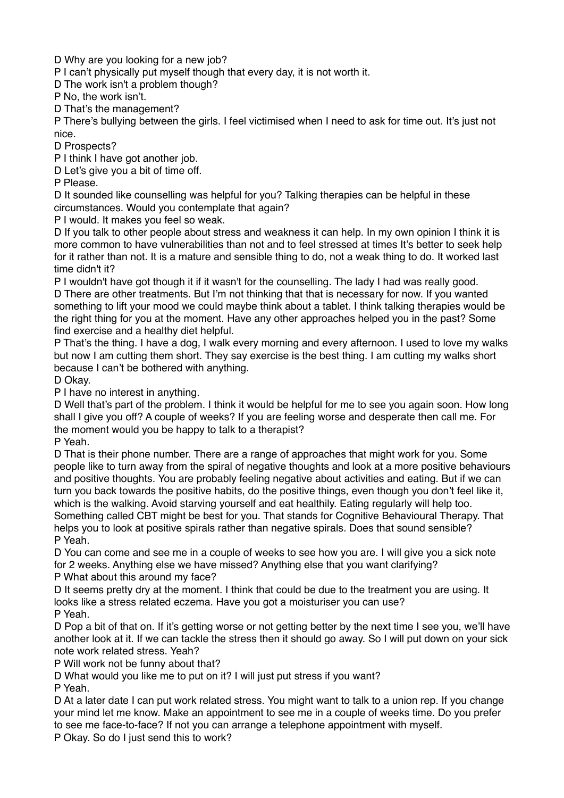D Why are you looking for a new job?

P I can't physically put myself though that every day, it is not worth it.

D The work isn't a problem though?

P No, the work isn't.

D That's the management?

P There's bullying between the girls. I feel victimised when I need to ask for time out. It's just not nice.

D Prospects?

P I think I have got another job.

D Let's give you a bit of time off.

P Please.

D It sounded like counselling was helpful for you? Talking therapies can be helpful in these circumstances. Would you contemplate that again?

P I would. It makes you feel so weak.

D If you talk to other people about stress and weakness it can help. In my own opinion I think it is more common to have vulnerabilities than not and to feel stressed at times It's better to seek help for it rather than not. It is a mature and sensible thing to do, not a weak thing to do. It worked last time didn't it?

P I wouldn't have got though it if it wasn't for the counselling. The lady I had was really good. D There are other treatments. But I'm not thinking that that is necessary for now. If you wanted something to lift your mood we could maybe think about a tablet. I think talking therapies would be the right thing for you at the moment. Have any other approaches helped you in the past? Some find exercise and a healthy diet helpful.

P That's the thing. I have a dog, I walk every morning and every afternoon. I used to love my walks but now I am cutting them short. They say exercise is the best thing. I am cutting my walks short because I can't be bothered with anything.

D Okay.

P I have no interest in anything.

D Well that's part of the problem. I think it would be helpful for me to see you again soon. How long shall I give you off? A couple of weeks? If you are feeling worse and desperate then call me. For the moment would you be happy to talk to a therapist?

P Yeah.

D That is their phone number. There are a range of approaches that might work for you. Some people like to turn away from the spiral of negative thoughts and look at a more positive behaviours and positive thoughts. You are probably feeling negative about activities and eating. But if we can turn you back towards the positive habits, do the positive things, even though you don't feel like it, which is the walking. Avoid starving yourself and eat healthily. Eating regularly will help too. Something called CBT might be best for you. That stands for Cognitive Behavioural Therapy. That helps you to look at positive spirals rather than negative spirals. Does that sound sensible? P Yeah.

D You can come and see me in a couple of weeks to see how you are. I will give you a sick note for 2 weeks. Anything else we have missed? Anything else that you want clarifying? P What about this around my face?

D It seems pretty dry at the moment. I think that could be due to the treatment you are using. It looks like a stress related eczema. Have you got a moisturiser you can use? P Yeah.

D Pop a bit of that on. If it's getting worse or not getting better by the next time I see you, we'll have another look at it. If we can tackle the stress then it should go away. So I will put down on your sick note work related stress. Yeah?

P Will work not be funny about that?

D What would you like me to put on it? I will just put stress if you want?

P Yeah.

D At a later date I can put work related stress. You might want to talk to a union rep. If you change your mind let me know. Make an appointment to see me in a couple of weeks time. Do you prefer to see me face-to-face? If not you can arrange a telephone appointment with myself.

P Okay. So do I just send this to work?